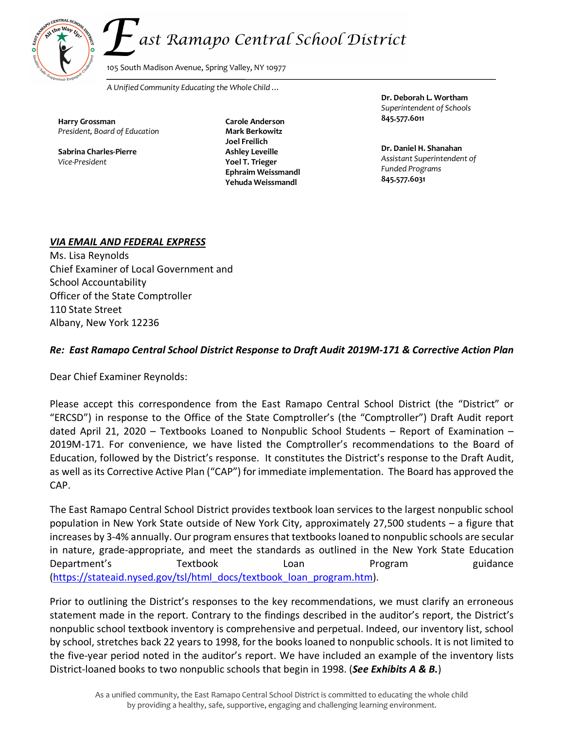# ast Ramapo Central School District



105 South Madison Avenue, Spring Valley, NY 10977

*A Unified Community Educating the Whole Child …*

 **845.577.6011 Carole Anderson Harry Grossman** *President, Board of Education*

**Sabrina Charles-Pierre** *Vice-President*

 **845.577.6031 Yehuda Weissmandl Mark Berkowitz Joel Freilich Ashley Leveille Yoel T. Trieger Ephraim Weissmandl**

**Dr. Deborah L. Wortham**  *Superintendent of Schools*

 **Dr. Daniel H. Shanahan** *Assistant Superintendent of Funded Programs*

#### *VIA EMAIL AND FEDERAL EXPRESS*

Ms. Lisa Reynolds Chief Examiner of Local Government and School Accountability Officer of the State Comptroller 110 State Street Albany, New York 12236

# *Re: East Ramapo Central School District Response to Draft Audit 2019M-171 & Corrective Action Plan*

Dear Chief Examiner Reynolds:

Please accept this correspondence from the East Ramapo Central School District (the "District" or "ERCSD") in response to the Office of the State Comptroller's (the "Comptroller") Draft Audit report dated April 21, 2020 – Textbooks Loaned to Nonpublic School Students – Report of Examination – 2019M-171. For convenience, we have listed the Comptroller's recommendations to the Board of Education, followed by the District's response. It constitutes the District's response to the Draft Audit, as well as its Corrective Active Plan ("CAP") for immediate implementation. The Board has approved the CAP.

The East Ramapo Central School District provides textbook loan services to the largest nonpublic school population in New York State outside of New York City, approximately 27,500 students – a figure that increases by 3-4% annually. Our program ensures that textbooks loaned to nonpublic schools are secular in nature, grade-appropriate, and meet the standards as outlined in the New York State Education Department's Textbook Loan Program guidance (https://stateaid.nysed.gov/tsl/html\_docs/textbook\_loan\_program.htm).

Prior to outlining the District's responses to the key recommendations, we must clarify an erroneous statement made in the report. Contrary to the findings described in the auditor's report, the District's nonpublic school textbook inventory is comprehensive and perpetual. Indeed, our inventory list, school by school, stretches back 22 years to 1998, for the books loaned to nonpublic schools. It is not limited to the five-year period noted in the auditor's report. We have included an example of the inventory lists District-loaned books to two nonpublic schools that begin in 1998. (*See Exhibits A & B.*)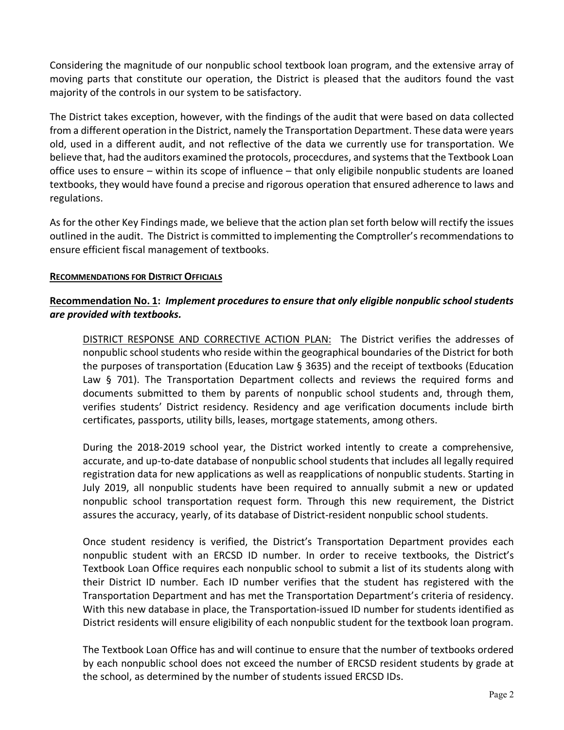Considering the magnitude of our nonpublic school textbook loan program, and the extensive array of moving parts that constitute our operation, the District is pleased that the auditors found the vast majority of the controls in our system to be satisfactory.

The District takes exception, however, with the findings of the audit that were based on data collected from a different operation in the District, namely the Transportation Department. These data were years old, used in a different audit, and not reflective of the data we currently use for transportation. We believe that, had the auditors examined the protocols, procecdures, and systems that the Textbook Loan office uses to ensure – within its scope of influence – that only eligibile nonpublic students are loaned textbooks, they would have found a precise and rigorous operation that ensured adherence to laws and regulations.

As for the other Key Findings made, we believe that the action plan set forth below will rectify the issues outlined in the audit. The District is committed to implementing the Comptroller's recommendations to ensure efficient fiscal management of textbooks.

#### **RECOMMENDATIONS FOR DISTRICT OFFICIALS**

## **Recommendation No. 1:** *Implement procedures to ensure that only eligible nonpublic school students are provided with textbooks.*

DISTRICT RESPONSE AND CORRECTIVE ACTION PLAN: The District verifies the addresses of nonpublic school students who reside within the geographical boundaries of the District for both the purposes of transportation (Education Law § 3635) and the receipt of textbooks (Education Law § 701). The Transportation Department collects and reviews the required forms and documents submitted to them by parents of nonpublic school students and, through them, verifies students' District residency. Residency and age verification documents include birth certificates, passports, utility bills, leases, mortgage statements, among others.

During the 2018-2019 school year, the District worked intently to create a comprehensive, accurate, and up-to-date database of nonpublic school students that includes all legally required registration data for new applications as well as reapplications of nonpublic students. Starting in July 2019, all nonpublic students have been required to annually submit a new or updated nonpublic school transportation request form. Through this new requirement, the District assures the accuracy, yearly, of its database of District-resident nonpublic school students.

Once student residency is verified, the District's Transportation Department provides each nonpublic student with an ERCSD ID number. In order to receive textbooks, the District's Textbook Loan Office requires each nonpublic school to submit a list of its students along with their District ID number. Each ID number verifies that the student has registered with the Transportation Department and has met the Transportation Department's criteria of residency. With this new database in place, the Transportation-issued ID number for students identified as District residents will ensure eligibility of each nonpublic student for the textbook loan program.

The Textbook Loan Office has and will continue to ensure that the number of textbooks ordered by each nonpublic school does not exceed the number of ERCSD resident students by grade at the school, as determined by the number of students issued ERCSD IDs.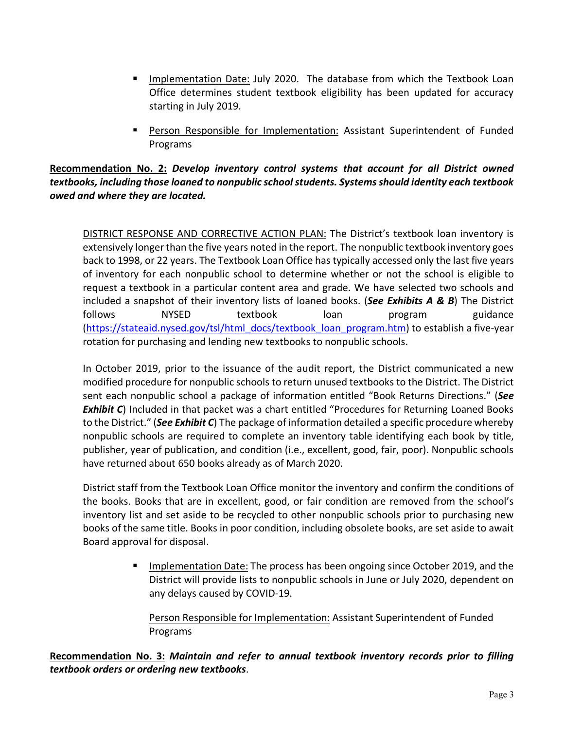- Implementation Date: July 2020. The database from which the Textbook Loan Office determines student textbook eligibility has been updated for accuracy starting in July 2019.
- § Person Responsible for Implementation: Assistant Superintendent of Funded Programs

## **Recommendation No. 2:** *Develop inventory control systems that account for all District owned textbooks, including those loaned to nonpublic school students. Systems should identity each textbook owed and where they are located.*

DISTRICT RESPONSE AND CORRECTIVE ACTION PLAN: The District's textbook loan inventory is extensively longer than the five years noted in the report. The nonpublic textbook inventory goes back to 1998, or 22 years. The Textbook Loan Office has typically accessed only the last five years of inventory for each nonpublic school to determine whether or not the school is eligible to request a textbook in a particular content area and grade. We have selected two schools and included a snapshot of their inventory lists of loaned books. (*See Exhibits A & B*) The District follows MYSED textbook loan program guidance (https://stateaid.nysed.gov/tsl/html\_docs/textbook\_loan\_program.htm) to establish a five-year rotation for purchasing and lending new textbooks to nonpublic schools.

In October 2019, prior to the issuance of the audit report, the District communicated a new modified procedure for nonpublic schools to return unused textbooks to the District. The District sent each nonpublic school a package of information entitled "Book Returns Directions." (*See*  **Exhibit C**) Included in that packet was a chart entitled "Procedures for Returning Loaned Books to the District." (*See Exhibit C*) The package of information detailed a specific procedure whereby nonpublic schools are required to complete an inventory table identifying each book by title, publisher, year of publication, and condition (i.e., excellent, good, fair, poor). Nonpublic schools have returned about 650 books already as of March 2020.

District staff from the Textbook Loan Office monitor the inventory and confirm the conditions of the books. Books that are in excellent, good, or fair condition are removed from the school's inventory list and set aside to be recycled to other nonpublic schools prior to purchasing new books of the same title. Books in poor condition, including obsolete books, are set aside to await Board approval for disposal.

> § Implementation Date: The process has been ongoing since October 2019, and the District will provide lists to nonpublic schools in June or July 2020, dependent on any delays caused by COVID-19.

Person Responsible for Implementation: Assistant Superintendent of Funded Programs

**Recommendation No. 3:** *Maintain and refer to annual textbook inventory records prior to filling textbook orders or ordering new textbooks*.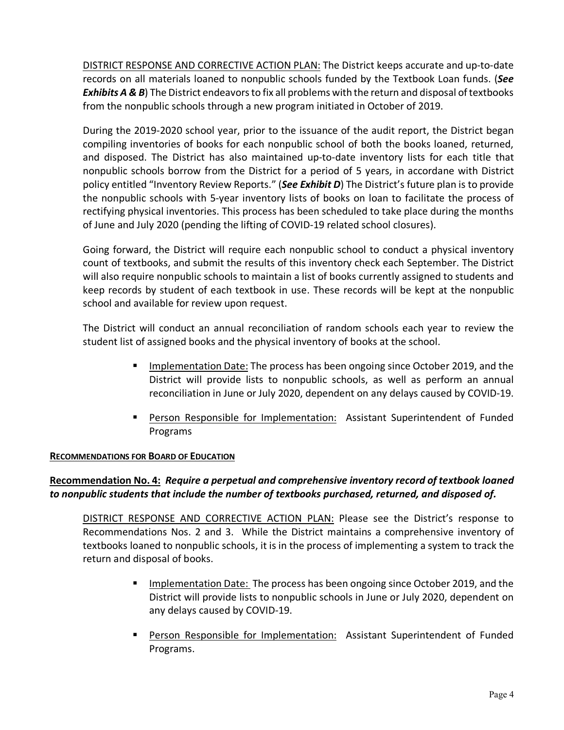DISTRICT RESPONSE AND CORRECTIVE ACTION PLAN: The District keeps accurate and up-to-date records on all materials loaned to nonpublic schools funded by the Textbook Loan funds. (*See*  **Exhibits A & B**) The District endeavors to fix all problems with the return and disposal of textbooks from the nonpublic schools through a new program initiated in October of 2019.

During the 2019-2020 school year, prior to the issuance of the audit report, the District began compiling inventories of books for each nonpublic school of both the books loaned, returned, and disposed. The District has also maintained up-to-date inventory lists for each title that nonpublic schools borrow from the District for a period of 5 years, in accordane with District policy entitled "Inventory Review Reports." (*See Exhibit D*) The District's future plan is to provide the nonpublic schools with 5-year inventory lists of books on loan to facilitate the process of rectifying physical inventories. This process has been scheduled to take place during the months of June and July 2020 (pending the lifting of COVID-19 related school closures).

Going forward, the District will require each nonpublic school to conduct a physical inventory count of textbooks, and submit the results of this inventory check each September. The District will also require nonpublic schools to maintain a list of books currently assigned to students and keep records by student of each textbook in use. These records will be kept at the nonpublic school and available for review upon request.

The District will conduct an annual reconciliation of random schools each year to review the student list of assigned books and the physical inventory of books at the school.

- Implementation Date: The process has been ongoing since October 2019, and the District will provide lists to nonpublic schools, as well as perform an annual reconciliation in June or July 2020, dependent on any delays caused by COVID-19.
- § Person Responsible for Implementation: Assistant Superintendent of Funded Programs

#### **RECOMMENDATIONS FOR BOARD OF EDUCATION**

# **Recommendation No. 4:** *Require a perpetual and comprehensive inventory record of textbook loaned to nonpublic students that include the number of textbooks purchased, returned, and disposed of.*

DISTRICT RESPONSE AND CORRECTIVE ACTION PLAN: Please see the District's response to Recommendations Nos. 2 and 3. While the District maintains a comprehensive inventory of textbooks loaned to nonpublic schools, it is in the process of implementing a system to track the return and disposal of books.

- Implementation Date: The process has been ongoing since October 2019, and the District will provide lists to nonpublic schools in June or July 2020, dependent on any delays caused by COVID-19.
- **Person Responsible for Implementation:** Assistant Superintendent of Funded Programs.